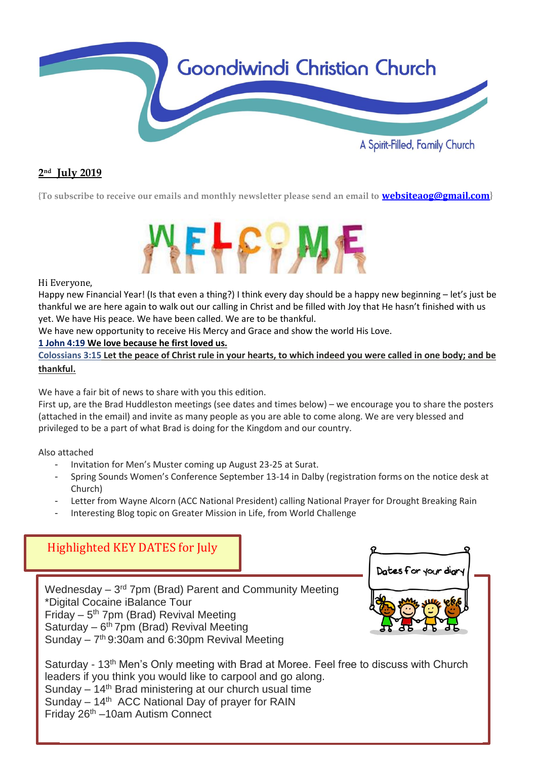

## **2 nd July 2019**

**{To subscribe to receive our emails and monthly newsletter please send an email to [websiteaog@gmail.com](mailto:websiteaog@gmail.com)}**



#### Hi Everyone,

Happy new Financial Year! (Is that even a thing?) I think every day should be a happy new beginning – let's just be thankful we are here again to walk out our calling in Christ and be filled with Joy that He hasn't finished with us yet. We have His peace. We have been called. We are to be thankful.

We have new opportunity to receive His Mercy and Grace and show the world His Love.

#### **1 John 4:19 We love because he first loved us.**

**[Colossians](https://bible.knowing-jesus.com/Colossians/3/15) 3:15 Let the peace of Christ rule in your hearts, to which indeed you were called in one body; and be thankful.**

We have a fair bit of news to share with you this edition.

First up, are the Brad Huddleston meetings (see dates and times below) – we encourage you to share the posters (attached in the email) and invite as many people as you are able to come along. We are very blessed and privileged to be a part of what Brad is doing for the Kingdom and our country.

Also attached

- Invitation for Men's Muster coming up August 23-25 at Surat.
- Spring Sounds Women's Conference September 13-14 in Dalby (registration forms on the notice desk at Church)
- Letter from Wayne Alcorn (ACC National President) calling National Prayer for Drought Breaking Rain
- Interesting Blog topic on Greater Mission in Life, from World Challenge



Friday 26th –10am Autism Connect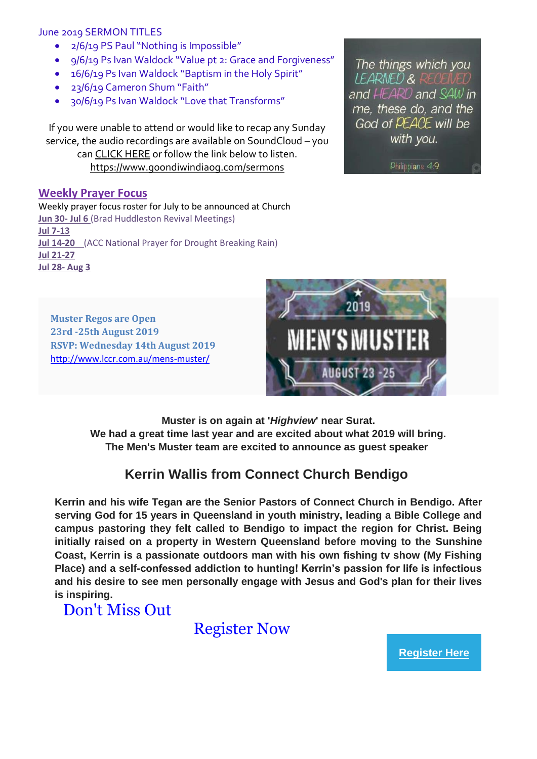#### June 2019 SERMON TITLES

- 2/6/19 PS Paul "Nothing is Impossible"
- 9/6/19 Ps Ivan Waldock "Value pt 2: Grace and Forgiveness"
- 16/6/19 Ps Ivan Waldock "Baptism in the Holy Spirit"
- 23/6/19 Cameron Shum "Faith"
- 30/6/19 Ps Ivan Waldock "Love that Transforms"

If you were unable to attend or would like to recap any Sunday service, the audio recordings are available on SoundCloud – you ca[n CLICK HERE](https://soundcloud.com/goondiwindi-aog) or follow the link below to listen. <https://www.goondiwindiaog.com/sermons>

#### **Weekly Prayer Focus**

Weekly prayer focus roster for July to be announced at Church **Jun 30- Jul 6** (Brad Huddleston Revival Meetings) **Jul 7-13 Jul 14-20** (ACC National Prayer for Drought Breaking Rain) **Jul 21-27 Jul 28- Aug 3**

The things which you

and HEARD and SAW in me, these do, and the God of PEACE will be with you.

Philippians 4.9

LEARNED &

**Muster Regos are Open 23rd -25th August 2019 RSVP: Wednesday 14th August 2019** <http://www.lccr.com.au/mens-muster/>



**Muster is on again at '***Highview***' near Surat. We had a great time last year and are excited about what 2019 will bring. The Men's Muster team are excited to announce as guest speaker**

## **Kerrin Wallis from Connect Church Bendigo**

**Kerrin and his wife Tegan are the Senior Pastors of Connect Church in Bendigo. After serving God for 15 years in Queensland in youth ministry, leading a Bible College and campus pastoring they felt called to Bendigo to impact the region for Christ. Being initially raised on a property in Western Queensland before moving to the Sunshine Coast, Kerrin is a passionate outdoors man with his own fishing tv show (My Fishing Place) and a self-confessed addiction to hunting! Kerrin's passion for life is infectious and his desire to see men personally engage with Jesus and God's plan for their lives is inspiring.**

Don't Miss Out

Register Now

**[Register Here](https://lccr.us17.list-manage.com/track/click?u=cbe47308ec97bef20fd96b79e&id=7bdb8e8e1f&e=7623d5a3c5)**